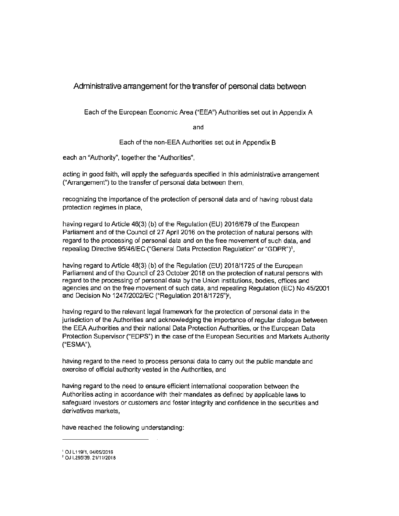### Administrative arrangement for the transfer of personal data between

Each of the European Economic Area ("EEA"} Authorities set out in Appendix A

and

Each of the non-EEA Authorities set out in Appendix B

each an "Authority", together the "Authorities",

acting in good faith, will apply the safeguards specified in this administrative arrangement ("Arrangement") to the transfer of personal data between them,

recognizing the importance of the protection of personal data and of having robust data protection regimes in place,

having regard to Article 46(3) (b} of the Regulation (EU) 2016/679 of the European Parliament and of the Council of 27 April 2016 on the protection of natural persons with regard to the processing of personal data and on the free movement of such data, and repealing Directive 95/46/EC ("General Data Protection Regulation" or "GDPR")1,

having regard to Article 48(3) (b) of the Regulation (EU) 2018/1725 of the European Parliament and of the Council of 23 October 2018 on the protection of natural persons with regard to the processing of personal data by the Union institutions, bodies, offices and agencies and on the free movement of such data, and repealing Regulation (EC) No 45/2001 and Decision No 1247/2002/EC ("Regulation 2018/1725").

having regard to the relevant legal framework for the protection of personal data in the jurisdiction of the Authorities and acknowledging the importance of regular dialogue between the EEA Authorities and their national Data Protection Authorities, or the European Data Protection Supervisor ("EDPS") in the case of the European Securities and Markets Authority ("ESMA"},

having regard to the need to process personal data to carry out the public mandate and exercise of official authority vested in the Authorities, and

having regard to the need to ensure efficient international cooperation between the Authorities acting in accordance with their mandates as defined by applicable laws to safeguard investors or customers and foster integrity and confidence in the securities and derivatives markets,

have reached the following understanding:

<sup>1</sup> OJ L 119/1, 04/05/2016

<sup>2</sup> OJ L295/39, 21/1112018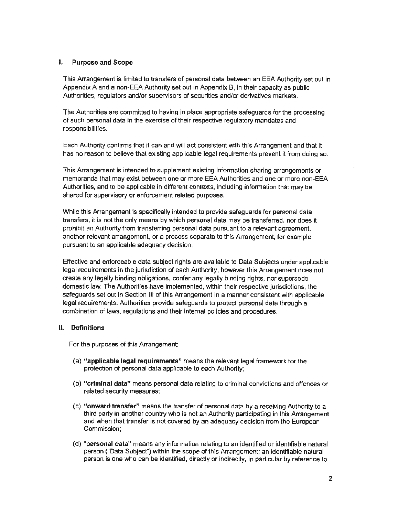#### I. **Purpose and Scope**

This Arrangement is limited to transfers of personal data between an EEA Authority set out in Appendix A and a non-EEA Authority set out in Appendix **B,** in their capacity as public Authorities, regulators and/or supervisors of securities and/or derivatives markets.

The Authorities are committed to having in place appropriate safeguards for the processing of such personal data in the exercise of their respective regulatory mandates and responsibilities.

Each Authority confirms that it can and will act consistent with this Arrangement and that it has no reason to believe that existing applicable legal requirements prevent it from doing so.

This Arrangement is intended to supplement existing information sharing arrangements or memoranda that may exist between one or more EEA Authorities and one or more non-EEA Authorities, and to be applicable in different contexts, including information that may be shared for supervisory or enforcement related purposes.

While this Arrangement is specifically intended to provide safeguards for personal data transfers, it is not the only means by which personal data may be transferred, nor does it prohibit an Authority from transferring personal data pursuant to a relevant agreement, another relevant arrangement, or a process separate to this Arrangement, for example pursuant to an applicable adequacy decision.

Effective and enforceable data subject rights are available to Data Subjects under applicable legal requirements in the jurisdiction of each Authority, however this Arrangement does not create any legally binding obligations, confer any legally binding rights, nor supersede domestic law. The Authorities have implemented, within their respective jurisdictions, the safeguards set out in Section Ill of this Arrangement in a manner consistent with applicable legal requirements. Authorities provide safeguards to protect personal data through a combination of laws, regulations and their internal policies and procedures.

#### II. **Definitions**

For the purposes of this Arrangement:

- (a) **"applicable legal requirements"** means the relevant legal framework for the protection of personal data applicable to each Authority;
- (b) **"criminal data"** means personal data relating to criminal convictions and offences or related security measures;
- (c) **"onward transfer"** means the transfer of personal data by a receiving Authority to a third party in another country who is not an Authority participating in this Arrangement and when that transfer is not covered by an adequacy decision from the European Commission;
- (d) **"personal data"** means any information relating to an identified or identifiable natural person ("Data Subject") within the scope of this Arrangement; an identifiable natural person is one who can be identified, directly or indirectly, in particular by reference to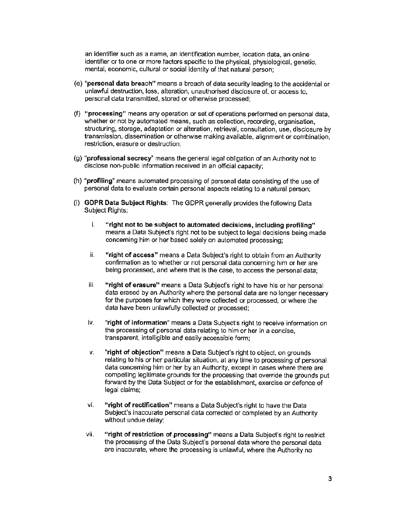an identifier such as a name, an identification number, location data, an online identifier or to one or more factors specific to the physical, physiological, genetic, mental, economic, cultural or social identity of that natural person;

- (e) **"personal data breach"** means a breach of data security leading to the accidental or unlawful destruction, loss, alteration, unauthorised disclosure of, or access to, personal data transmitted, stored or otherwise processed;
- (f) **"processing"** means any operation or set of operations performed on personal data, whether or not by automated means, such as collection, recording, organisation, structuring, storage, adaptation or alteration, retrieval, consultation, use, disclosure by transmission, dissemination or otherwise making available, alignment or combination, restriction, erasure or destruction;
- (g) **"professional secrecy"** means the general legal obligation of an Authority not to disclose non-public information received in an official capacity;
- (h) **"profiling"** means automated processing of personal data consisting of the use of personal data to evaluate certain personal aspects relating to a natural person;
- (i) **GDPR Data Subject Rights:** The GDPR generally provides the following Data Subject Rights:
	- i. **"right not to be subject to automated decisions, including profiling"**  means a Data Subject's right not to be subject to legal decisions being made concerning him or her based solely on automated processing;
	- ii. **"right of access"** means a Data Subject's right to obtain from an Authority confirmation as to whether or not personal data concerning him or her are being processed, and where that is the case, to access the personal data;
	- iii. **"right of erasure"** means a Data Subject's right to have his or her personal data erased by an Authority where the personal data are no longer necessary for the purposes for which they were collected or processed, or where the data have been unlawfully collected or processed;
	- iv. **"right of information"** means a Data Subject's right to receive information on the processing of personal data relating to him or her in a concise, transparent, intelligible and easily accessible form;
	- v. **"right of objection"** means a Data Subject's right to object, on grounds relating to his or her particular situation, at any time to processing of personal data concerning him or her by an Authority, except in cases where there are compelling legitimate grounds for the processing that override the grounds put forward by the Data Subject or for the establishment, exercise or defence of legal claims;
	- vi. **"right of rectification"** means a Data Subject's right to have the Data Subject's inaccurate personal data corrected or completed by an Authority without undue delay;
	- vii. **"right of restriction of processing"** means a Data Subject's right to restrict the processing of the Data Subject's personal data where the personal data are inaccurate, where the processing is unlawful, where the Authority no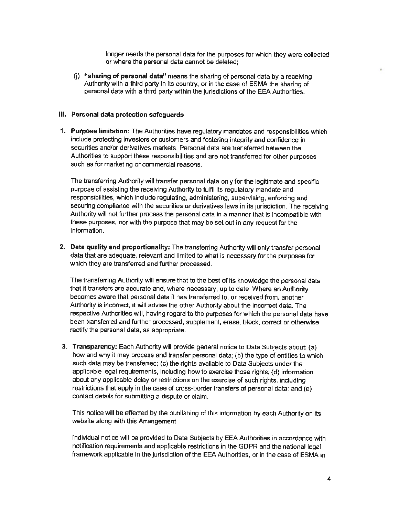longer needs the personal data for the purposes for which they were collected or where the personal data cannot be deleted;

(j) **"sharing of personal data"** means the sharing of personal data by a receiving Authority with a third party in its country, or in the case of ESMA the sharing of personal data with a third party within the jurisdictions of the EEA Authorities.

#### **m. Personal data protection safeguards**

1. **Purpose limitation:** The Authorities have regulatory mandates and responsibilities which include protecting investors or customers and fostering integrity and confidence in securities and/or derivatives markets. Personal data are transferred between the Authorities to support these responsibilities and are not transferred for other purposes such as for marketing or commercial reasons.

The transferring Authority will transfer personal data only for the legitimate and specific purpose of assisting the receiving Authority to fulfil its regulatory mandate and responsibilities, which include regulating, administering, supervising, enforcing and securing compliance with the securities or derivatives laws in its jurisdiction. The receiving Authority will not further process the personal data in a manner that is incompatible with these purposes, nor with the purpose that may be set out in any request for the information.

**2. Data quality and proportionality:** The transferring Authority will only transfer personal data that are adequate, relevant and limited to what is necessary for the purposes for which they are transferred and further processed.

The transferring Authority will ensure that to the best of its knowledge the personal data that it transfers are accurate and, where necessary, up to date. Where an Authority becomes aware that personal data it has transferred to, or received from, another Authority is incorrect, it will advise the other Authority about the incorrect data. The respective Authorities will, having regard to the purposes for which the personal data have been transferred and further processed, supplement, erase, block, correct or otherwise rectify the personal data, as appropriate.

**3. Transparency:** Each Authority will provide general notice to Data Subjects about: (a) how and why it may process and transfer personal data; (b) the type of entities to which such data may be transferred; (c) the rights available to Data Subjects under the applicable legal requirements, including how to exercise those rights; (d) information about any applicable delay or restrictions on the exercise of such rights, including restrictions that apply in the case of cross-border transfers of personal data; and (e) contact details for submitting a dispute or claim.

This notice will be effected by the publishing of this information by each Authority on its website along with this Arrangement.

Individual notice will be provided to Data Subjects by EEA Authorities in accordance with notification requirements and applicable restrictions in the GDPR and the national legal framework applicable in the jurisdiction of the EEA Authorities, or in the case of ESMA in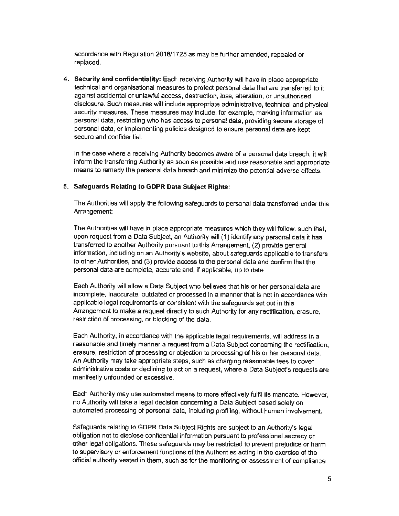accordance with Regulation 2018/1725 as may be further amended, repealed or replaced.

**4. Security and confidentiality:** Each receiving Authority will have in place appropriate technical and organisational measures to protect personal data that are transferred to it against accidental or unlawful access, destruction, loss, alteration, or unauthorised disclosure. Such measures will include appropriate administrative, technical and physical security measures. These measures may include, for example, marking information as personal data, restricting who has access to personal data, providing secure storage of personal data, or implementing policies designed to ensure personal data are kept secure and confidential.

In the case where a receiving Authority becomes aware of a personal data breach, it will inform the transferring Authority as soon as possible and use reasonable and appropriate means to remedy the personal data breach and minimize the potential adverse effects.

#### **5. Safeguards Relating to GOPR Data Subject Rights:**

The Authorities will apply the following safeguards to personal data transferred under this Arrangement:

The Authorities will have in place appropriate measures which they will follow, such that, upon request from a Data Subject, an Authority will (1) identify any personal data it has transferred to another Authority pursuant to this Arrangement, (2) provide general information, including on an Authority's website, about safeguards applicable to transfers to other Authorities, and (3) provide access to the personal data and confirm that the personal data are complete, accurate and, if applicable, up to date.

Each Authority will allow a Data Subject who believes that his or her personal data are incomplete, inaccurate, outdated or processed in a manner that is not in accordance with applicable legal requirements or consistent with the safeguards set out in this Arrangement to make a request directly to such Authority for any rectification, erasure, restriction of processing, or blocking of the data.

Each Authority, in accordance With the applicable legal requirements, will address in a reasonable and timely manner a request from a Data Subject concerning the rectification, erasure, restriction of processing or objection to processing of his or her personal data. An Authority may take appropriate steps, such as charging reasonable fees to cover administrative costs or declining to act on a request, where a Data Subject's requests are manifestly unfounded or excessive.

Each Authority may use automated means to more effectively fulfil its mandate. However, no Authority will take a legal decision concerning a Data Subject based solely on automated processing of personal data, including profiling, without human involvement.

Safeguards relating to GDPR Data Subject Rights are subject to an Authority's legal obligation not to disclose confidential information pursuant to professional secrecy or other legal obligations. These safeguards may be restricted to prevent prejudice or harm to supervisory or enforcement functions of the Authorities acting in the exercise of the official authority vested in them, such as for the monitoring or assessment of compliance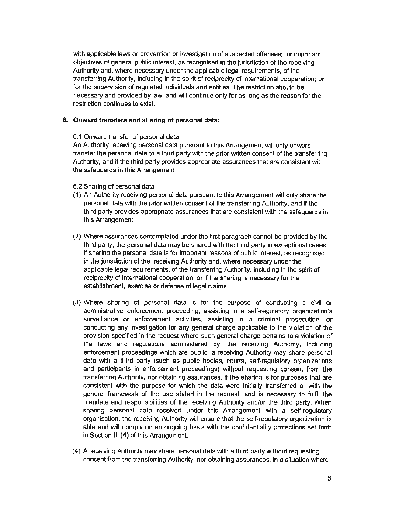with applicable laws or prevention or investigation of suspected offenses; for important objectives of general public interest, as recognised in the jurisdiction of the receiving Authority and, where necessary under the applicable legal requirements, of the transferring Authority, including in the spirit of reciprocity of international cooperation; or for the supervision of regulated individuals and entities. The restriction should be necessary and provided by law, and will continue only for as long as the reason for the restriction continues to exist.

#### **6. Onward transfers and sharing of personal data:**

6.1 Onward transfer of personal data

An Authority receiving personal data pursuant to this Arrangement will only onward transfer the personal data to a third party with the prior written consent of the transferring Authority, and if the third party provides appropriate assurances that are consistent with the safeguards in this Arrangement.

- 6.2 Sharing of personal data
- ( 1) An Authority receiving personal data pursuant to this Arrangement will only share the personal data with the prior written consent of the transferring Authority, and if the third party provides appropriate assurances that are consistent with the safeguards in this Arrangement.
- (2) Where assurances contemplated under the first paragraph cannot be provided by the third party, the personal data may be shared with the third party in exceptional cases if sharing the personal data is for important reasons of public interest, as recognised in the jurisdiction of the receiving Authority and, where necessary under the applicable legal requirements, of the transferring Authority, including in the spirit of reciprocity of international cooperation, or if the sharing is necessary for the establishment, exercise or defense of legal claims.
- (3) Where sharing of personal data is for the purpose of conducting a civil or administrative enforcement proceeding, assisting in a self-regulatory organization's surveillance or enforcement activities, assisting in a criminal prosecution, or conducting any investigation for any general charge applicable to the violation of the provision specified in the request where such general charge pertains to a violation of the laws and regulations administered by the receiving Authority, including enforcement proceedings which are public, a receiving Authority may share personal data with a third party (such as public bodies, courts, self-regulatory organizations and participants in enforcement proceedings) without requesting consent from the transferring Authority, nor obtaining assurances, if the sharing is for purposes that are consistent with the purpose for which the data were initially transferred or with the general framework of the use stated in the request. and is necessary to fulfil the mandate and responsibilities of the receiving Authority and/or the third party. When sharing personal data received under this Arrangement with a self-regulatory organisation, the receiving Authority will ensure that the self-regulatory organization is able and will comply on an ongoing basis with the confidentiality protections set forth in Section Ill (4) of this Arrangement.
- (4) A receiving Authority may share personal data with a third party without requesting consent from the transferring Authority, nor obtaining assurances, in a situation where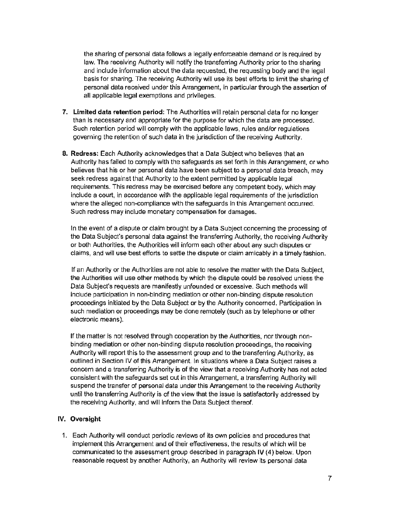the sharing of personal data follows a legally enforceable demand or is required by law. The receiving Authority will notify the transferring Authority prior to the sharing and include information about the data requested, the requesting body and the legal basis for sharing. The receiving Authority will use its best efforts to limit the sharing of personal data received under this Arrangement, in particular through the assertion of all applicable legal exemptions and privileges.

- **7. Limited data retention period:** The Authorities will retain personal data for no longer than is necessary and appropriate for the purpose for which the data are processed. · Such retention period will comply with the applicable laws, rules and/or regulations governing the retention of such data in the jurisdiction of the receiving Authority.
- **8. Redress:** Each Authority acknowledges that a Data Subject who believes that an Authority has failed to comply with the safeguards as set forth in this Arrangement. or who believes that his or her personal data have been subject to a personal data breach, may seek redress against that Authority to the extent permitted by applicable legal requirements. This redress may be exercised before any competent body, which may include a court, in accordance with the applicable legal requirements of the jurisdiction where the alleged non-compliance with the safeguards in this Arrangement occurred. Such redress may include monetary compensation for damages.

In the event of a dispute or claim brought by a Data Subject concerning the processing of the Data Subject's personal data against the transferring Authority, the receiving Authority or both Authorities, the Authorities will inform each other about any such disputes or claims, and will use best efforts to settle the dispute or claim amicably in a timely fashion.

If an Authority or the Authorities are not able to resolve the matter with the Data Subject, the Authorities will use other methods by which the dispute could be resolved unless the Data Subject's requests are manifestly unfounded or excessive. Such methods will include participation in non-binding mediation or other non·binding dispute resolution proceedings initiated by the Data Subject or by the Authority concerned. Participation in such mediation or proceedings may be done remotely (such as by telephone or other electronic means).

If the matter is not resolved through cooperation by the Authorities, nor through non· binding mediation or other non-binding dispute resolution proceedings, the receiving Authority will report this to the assessment group and to the transferring Authority, as outlined in Section IV of this Arrangement. In situations where a Data Subject raises a concern and a transferring Authority is of the view that a receiving Authority has not acted consistent with the safeguards set out in this Arrangement, a transferring Authority will suspend the transfer of personal data under this Arrangement to the receiving Authority until the transferring Authority is of the view that the issue is satisfactorily addressed by the receiving Authority, and will inform the Data Subject thereof.

#### **IV. Oversight**

1. Each Authority will conduct periodic reviews of its own policies and procedures that implement this Arrangement and of their effectiveness, the results of which will be communicated to the assessment group described in paragraph IV (4) below. Upon reasonable request by another Authority, an Authority will review its personal data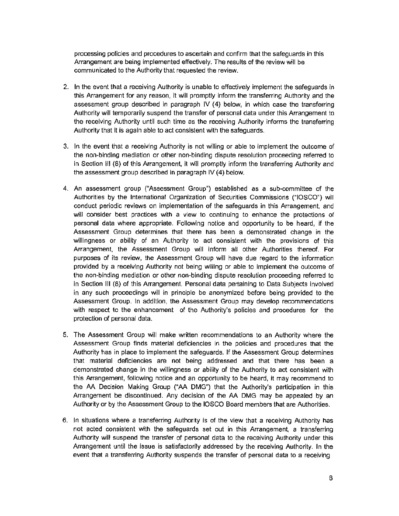processing policies and procedures to ascertain and confirm that the safeguards in this Arrangement are being implemented effectively. The results of the review will be communicated to the Authority that requested the review.

- 2. In the event that a receiving Authority is unable to effectively implement the safeguards in this Arrangement for any reason, it will promptly inform the transferring Authority and the assessment group described in paragraph IV (4) below, in which case the transferring Authority will temporarily suspend the transfer of personal data under this Arrangement to the receiving Authority until such time as the receiving Authority informs the transferring Authority that it is again able to act consistent with the safeguards.
- 3. In the event that a receiving Authority is not willing or able to implement the outcome of the non-binding mediation or other non-binding dispute resolution proceeding referred to in Section Ill (8) of this Arrangement, it will promptly inform the transferring Authority and the assessment group described in paragraph IV (4) below.
- 4. An assessment group ("Assessment Group") estab!ished as a sub-committee of the Authorities by the International Organization of Securities Commissions ("!OSCO") will conduct periodic reviews on implementation of the safeguards in this Arrangement. and will consider best practices with a view to continuing to enhance the protections of personal data where appropriate. Following notice and opportunity to be heard, if the Assessment Group determines that there has been a demonstrated change in the willingness or ability of an Authority to act consistent with the provisions of this Arrangement, the Assessment Group will inform all other Authorities thereof. For purposes of its review, the Assessment Group will have due regard to the information provjded by a receiving Authority not being willing or able to implement the outcome of the non-binding mediation or other non-binding dispute resolution proceeding referred to in Section Ill (8) of this Arrangement. Personal data pertaining to Data Subjects involved in any such proceedings will in principle be anonymized before being provided to the Assessment Group. In addition, the Assessment Group may develop recommendations with respect to the enhancement of the Authority's policies and procedures for the protection of personal data.
- 5. The Assessment Group will make written recommendations to an Authority where the Assessment Group finds material deficiencies in the policies and procedures that the Authority has in place to implement the safeguards. If the Assessment Group determines that material deficiencies are not being addressed and that there has been a demonstrated change in the willingness or ability of the Authority to act consistent with this Arrangement, following notice and an opportunity to be heard, it may recommend to the AA Decision Making Group ("AA DMG") that the Authority's participation in this Arrangement be discontinued. Any decision of the AA DMG may be appealed by an Authority or by the Assessment Group to the IOSCO Board members that are Authorities.
- 6. In situations where a transferring Authority is of the view that a receiving Authority has not acted consistent with the safeguards set out in this Arrangement. a transferring Authority will suspend the transfer of personal data to the receiving Authority under this Arrangement until the issue is satisfactorily addressed by the receiving Authority. In the event that a transferring Authority suspends the transfer of personal data to a receiving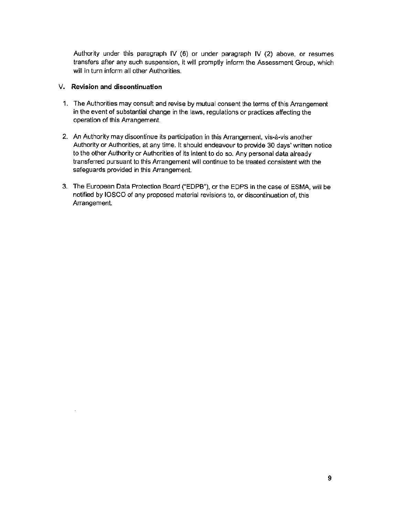Authority under this paragraph IV (6) or under paragraph IV (2) above, or resumes transfers after any such suspension, it will promptly inform the Assessment Group, which will in turn inform all other Authorities.

#### **V. Revision and discontinuation**

- 1. The Authorities may consult and revise by mutual consent the terms of this Arrangement in the event of substantial change in the laws, regulations or practices affecting the operation of this Arrangement.
- 2. An Authority may discontinue its participation in this Arrangement, vis-a-vis another Authority or Authorities, at any time. It should endeavour to provide 30 days' written notice to the other Authority or Authorities of its intent to do so. Any personal data already transferred pursuant to this Arrangement will continue to be treated consistent with the safeguards provided in this Arrangement.
- 3. The European Data Protection Board ("EDPB"), or the EDPS in the case of ESMA, will be notified by IOSCO of any proposed material revisions to, or discontinuation of, this Arrangement.